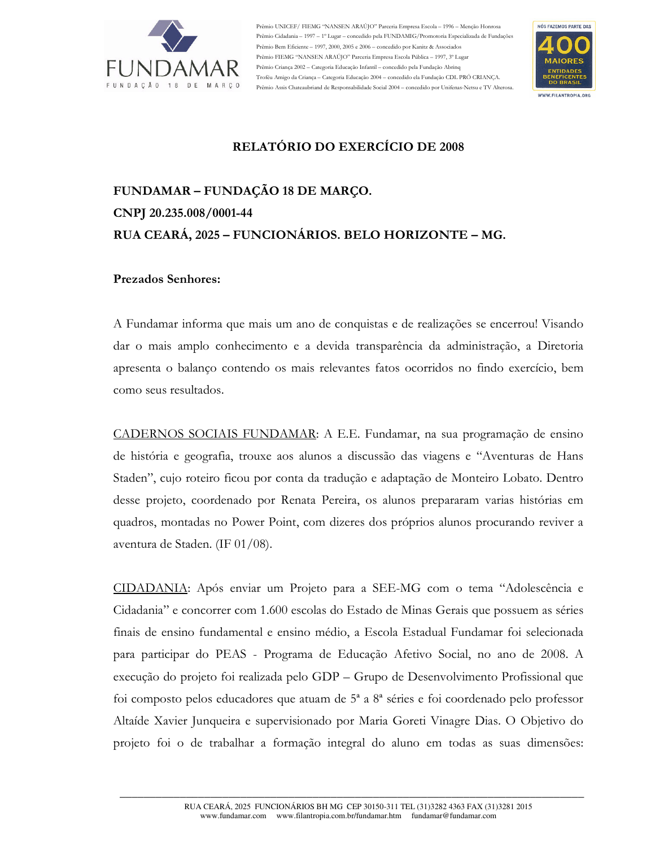

Prêmio UNICEF/ FIEMG "NANSEN ARAÚJO" Parceria Empresa Escola - 1996 - Menção Honrosa Prêmio Cidadania - 1997 - 1º Lugar - concedido pela FUNDAMIG/Promotoria Especializada de Fundações Prêmio Bem Eficiente - 1997, 2000, 2005 e 2006 - concedido por Kanitz & Associados Prêmio FIEMG "NANSEN ARAÚJO" Parceria Empresa Escola Pública - 1997, 3º Lugar Prêmio Criança 2002 - Categoria Educação Infantil - concedido pela Fundação Abrinq Troféu Amigo da Crianca - Categoria Educação 2004 - concedido ela Fundação CDL PRÓ CRIANCA. Prêmio Assis Chateaubriand de Responsabilidade Social 2004 - concedido por Unifenas-Netsu e TV Alterosa.



## RELATÓRIO DO EXERCÍCIO DE 2008

# FUNDAMAR - FUNDACÃO 18 DE MARCO. CNPJ 20.235.008/0001-44 RUA CEARÁ, 2025 - FUNCIONÁRIOS. BELO HORIZONTE - MG.

#### **Prezados Senhores:**

A Fundamar informa que mais um ano de conquistas e de realizações se encerrou! Visando dar o mais amplo conhecimento e a devida transparência da administração, a Diretoria apresenta o balanço contendo os mais relevantes fatos ocorridos no findo exercício, bem como seus resultados.

CADERNOS SOCIAIS FUNDAMAR: A E.E. Fundamar, na sua programação de ensino de história e geografia, trouxe aos alunos a discussão das viagens e "Aventuras de Hans Staden", cujo roteiro ficou por conta da tradução e adaptação de Monteiro Lobato. Dentro desse projeto, coordenado por Renata Pereira, os alunos prepararam varias histórias em quadros, montadas no Power Point, com dizeres dos próprios alunos procurando reviver a aventura de Staden. (IF 01/08).

CIDADANIA: Após enviar um Projeto para a SEE-MG com o tema "Adolescência e Cidadania" e concorrer com 1.600 escolas do Estado de Minas Gerais que possuem as séries finais de ensino fundamental e ensino médio, a Escola Estadual Fundamar foi selecionada para participar do PEAS - Programa de Educação Afetivo Social, no ano de 2008. A execução do projeto foi realizada pelo GDP – Grupo de Desenvolvimento Profissional que foi composto pelos educadores que atuam de  $5^{\degree}$  a  $8^{\degree}$  séries e foi coordenado pelo professor Altaíde Xavier Junqueira e supervisionado por Maria Goreti Vinagre Dias. O Objetivo do projeto foi o de trabalhar a formação integral do aluno em todas as suas dimensões: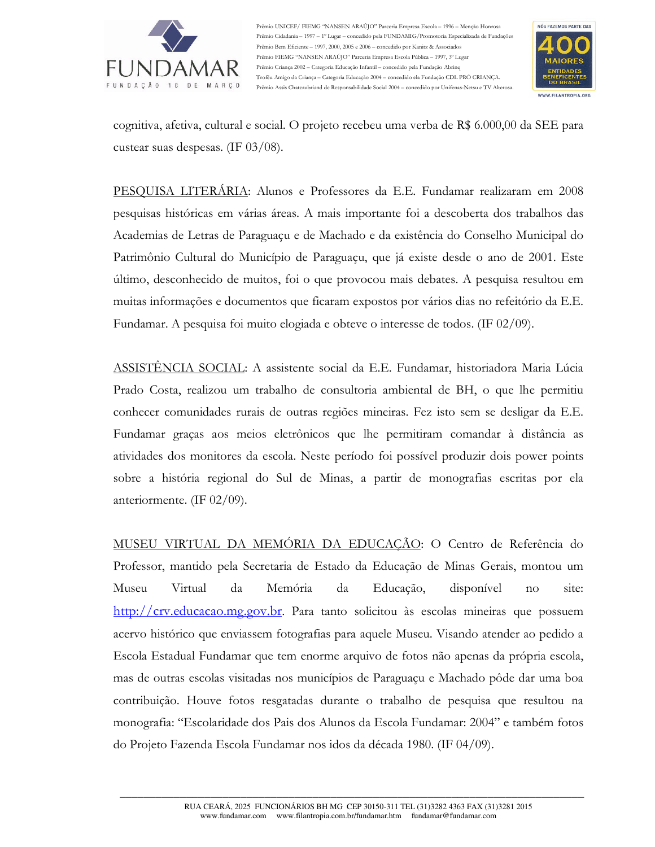

Prêmio UNICEF/ FIEMG "NANSEN ARAÚJO" Parceria Empresa Escola - 1996 - Menção Honrosa Prêmio Cidadania -- 1997 -- 1º Lugar -- concedido pela FUNDAMIG/Promotoria Especializada de Fundações Prêmio Bem Eficiente - 1997, 2000, 2005 e 2006 - concedido por Kanitz & Associados Prêmio FIEMG "NANSEN ARAÚJO" Parceria Empresa Escola Pública - 1997, 3º Lugar Prêmio Criança 2002 - Categoria Educação Infantil - concedido pela Fundação Abrinq Troféu Amigo da Crianca - Categoria Educação 2004 - concedido ela Fundação CDL PRÓ CRIANCA. Prêmio Assis Chateaubriand de Responsabilidade Social 2004 - concedido por Unifenas-Netsu e TV Alterosa



cognitiva, afetiva, cultural e social. O projeto recebeu uma verba de R\$ 6.000,00 da SEE para custear suas despesas. (IF 03/08).

PESOUISA LITERÁRIA: Alunos e Professores da E.E. Fundamar realizaram em 2008 pesquisas históricas em várias áreas. A mais importante foi a descoberta dos trabalhos das Academias de Letras de Paraguaçu e de Machado e da existência do Conselho Municipal do Patrimônio Cultural do Município de Paraguaçu, que já existe desde o ano de 2001. Este último, desconhecido de muitos, foi o que provocou mais debates. A pesquisa resultou em muitas informações e documentos que ficaram expostos por vários dias no refeitório da E.E. Fundamar. A pesquisa foi muito elogiada e obteve o interesse de todos. (IF 02/09).

ASSISTÊNCIA SOCIAL: A assistente social da E.E. Fundamar, historiadora Maria Lúcia Prado Costa, realizou um trabalho de consultoria ambiental de BH, o que lhe permitiu conhecer comunidades rurais de outras regiões mineiras. Fez isto sem se desligar da E.E. Fundamar graças aos meios eletrônicos que lhe permitiram comandar à distância as atividades dos monitores da escola. Neste período foi possível produzir dois power points sobre a história regional do Sul de Minas, a partir de monografias escritas por ela anteriormente. (IF  $02/09$ ).

MUSEU VIRTUAL DA MEMÓRIA DA EDUCAÇÃO: O Centro de Referência do Professor, mantido pela Secretaria de Estado da Educação de Minas Gerais, montou um Museu Virtual da Memória da Educação, disponível site:  $no$  $\frac{\text{http://crv.educacao.mg.gov.br}}{\text{http://crv.educacao.mg.gov.br}}$ . Para tanto solicitou às escolas mineiras que possuem acervo histórico que enviassem fotografias para aquele Museu. Visando atender ao pedido a Escola Estadual Fundamar que tem enorme arquivo de fotos não apenas da própria escola, mas de outras escolas visitadas nos municípios de Paraguaçu e Machado pôde dar uma boa contribuição. Houve fotos resgatadas durante o trabalho de pesquisa que resultou na monografia: "Escolaridade dos Pais dos Alunos da Escola Fundamar: 2004" e também fotos do Projeto Fazenda Escola Fundamar nos idos da década 1980. (IF 04/09).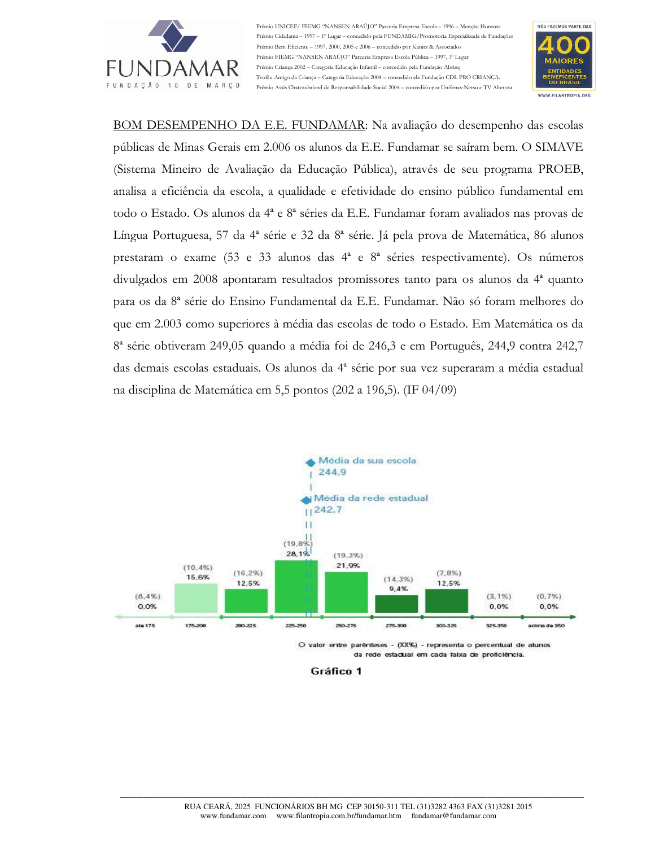

io UNICEF/ FIEMG "NANSEN ARAÚJO" Parceria Empresa Escola - 1996 - Menção Honrosa .<br>io Cidadania – 1997 – 1º Lugar – concedido pela FUNDAMIG/Promotoria Especializada de Fundações Prêmio Bem Eficiente - 1997, 2000, 2005 e 2006 - concedido por Kanitz & Associados Prêmio FIEMG "NANSEN ARAÚIO" Parceria Empresa Escola Pública - 1997. 3º Lugar Prêmio Criança 2002 - Categoria Educação Infantil - concedido pela Fundação Abrino Troféu Amigo da Crianca - Categoria Educação 2004 - concedido ela Fundação CDL PRÓ CRIANCA. Prêmio Assis Chateaubriand de Responsabilidade Social 2004 - concedido por Unifenas-Netsu e TV Alterosa



BOM DESEMPENHO DA E.E. FUNDAMAR: Na avaliação do desempenho das escolas públicas de Minas Gerais em 2.006 os alunos da E.E. Fundamar se saíram bem. O SIMAVE (Sistema Mineiro de Avaliação da Educação Pública), através de seu programa PROEB, analisa a eficiência da escola, a qualidade e efetividade do ensino público fundamental em todo o Estado. Os alunos da 4ª e 8ª séries da E.E. Fundamar foram avaliados nas provas de Língua Portuguesa, 57 da 4ª série e 32 da 8ª série. Já pela prova de Matemática, 86 alunos prestaram o exame (53 e 33 alunos das 4<sup>ª</sup> e 8<sup>ª</sup> séries respectivamente). Os números divulgados em 2008 apontaram resultados promissores tanto para os alunos da 4<sup>ª</sup> quanto para os da 8ª série do Ensino Fundamental da E.E. Fundamar. Não só foram melhores do que em 2.003 como superiores à média das escolas de todo o Estado. Em Matemática os da 8<sup>ª</sup> série obtiveram 249,05 quando a média foi de 246,3 e em Português, 244,9 contra 242,7 das demais escolas estaduais. Os alunos da 4ª série por sua vez superaram a média estadual na disciplina de Matemática em 5,5 pontos (202 a 196,5). (IF 04/09)



da rede estadual em cada faixa de proficiência.

Gráfico 1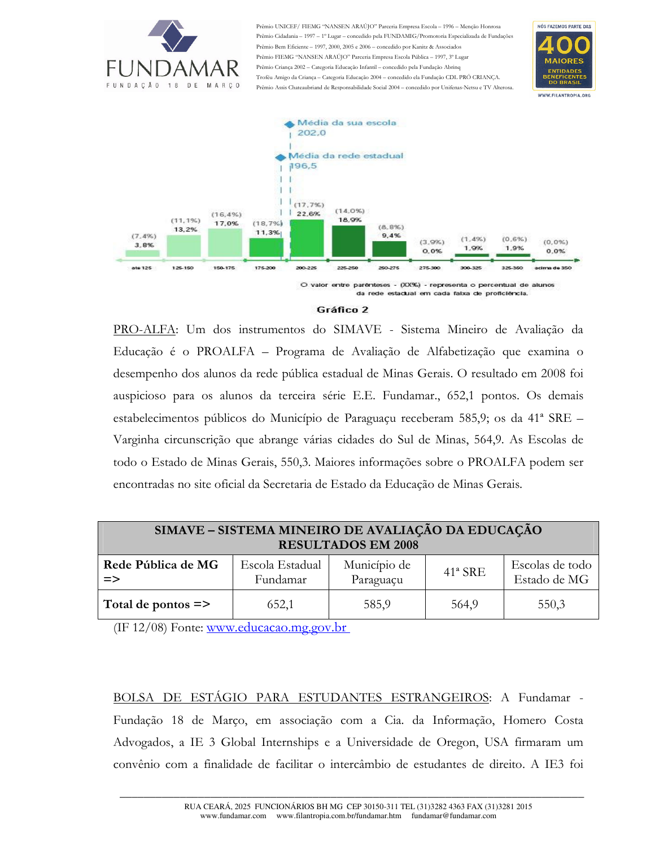

io UNICEF/ FIEMG "NANSEN ARAÚJO" Parceria Empresa Escola - 1996 - Menção Honrosa io Cidadania – 1997 – 1º Lugar – concedido pela FUNDAMIG/Promotoria Especializada de Fundações Prêmio Bem Eficiente - 1997, 2000, 2005 e 2006 - concedido por Kanitz & Associados io FIEMG "NANSEN ARAÚJO" Parceria Empresa Escola Pública - 1997, 3º Lugar Prêmio Criança 2002 - Categoria Educação Infantil - concedido pela Fundação Abrino Troféu Amigo da Crianca - Categoria Educação 2004 - concedido ela Fundação CDL PRÓ CRIANCA. Prêmio Assis Chateaubriand de Responsabilidade Social 2004 - concedido por Unifenas-Netsu e TV Alterosa





#### Gráfico 2

PRO-ALFA: Um dos instrumentos do SIMAVE - Sistema Mineiro de Avaliação da Educação é o PROALFA – Programa de Avaliação de Alfabetização que examina o desempenho dos alunos da rede pública estadual de Minas Gerais. O resultado em 2008 foi auspicioso para os alunos da terceira série E.E. Fundamar., 652,1 pontos. Os demais estabelecimentos públicos do Município de Paraguaçu receberam 585,9; os da 41<sup>ª</sup> SRE – Varginha circunscrição que abrange várias cidades do Sul de Minas, 564,9. As Escolas de todo o Estado de Minas Gerais, 550,3. Maiores informações sobre o PROALFA podem ser encontradas no site oficial da Secretaria de Estado da Educação de Minas Gerais.

| SIMAVE - SISTEMA MINEIRO DE AVALIAÇÃO DA EDUCAÇÃO<br><b>RESULTADOS EM 2008</b> |                             |                           |            |                                 |  |
|--------------------------------------------------------------------------------|-----------------------------|---------------------------|------------|---------------------------------|--|
| Rede Pública de MG<br>$\Rightarrow$                                            | Escola Estadual<br>Fundamar | Município de<br>Paraguaçu | $41^a$ SRE | Escolas de todo<br>Estado de MG |  |
| Total de pontos $\Rightarrow$                                                  | 652,1                       | 585,9                     | 564,9      | 550,3                           |  |

(IF  $12/08$ ) Fonte: www.educacao.mg.gov.br

BOLSA DE ESTÁGIO PARA ESTUDANTES ESTRANGEIROS: A Fundamar -Fundação 18 de Março, em associação com a Cia. da Informação, Homero Costa Advogados, a IE 3 Global Internships e a Universidade de Oregon, USA firmaram um convênio com a finalidade de facilitar o intercâmbio de estudantes de direito. A IE3 foi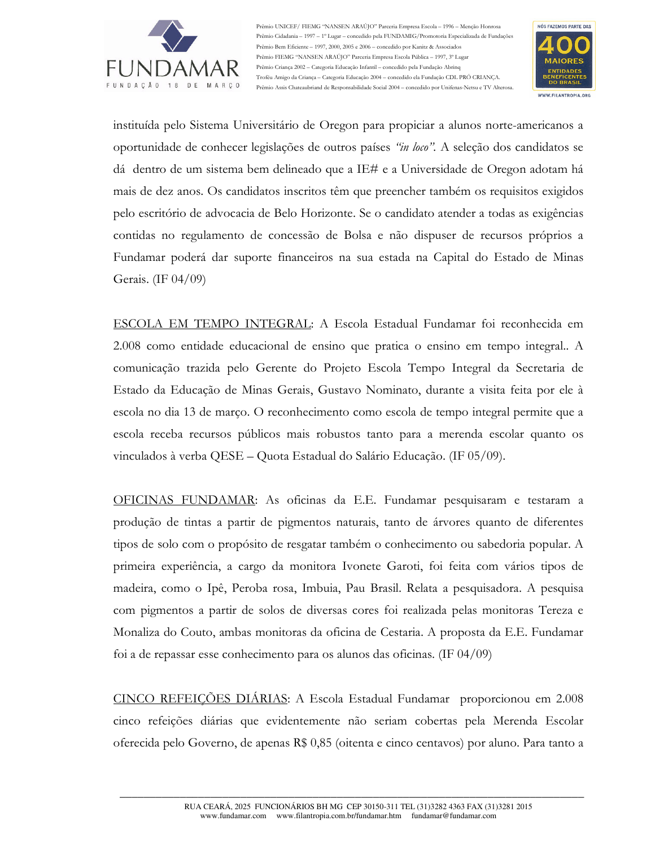

Prêmio UNICEF/ FIEMG "NANSEN ARAÚJO" Parceria Empresa Escola - 1996 - Menção Honrosa Prêmio Cidadania -- 1997 -- 1º Lugar -- concedido pela FUNDAMIG/Promotoria Especializada de Fundações Prêmio Bem Eficiente - 1997, 2000, 2005 e 2006 - concedido por Kanitz & Associados Prêmio FIEMG "NANSEN ARAÚJO" Parceria Empresa Escola Pública - 1997, 3º Lugar Prêmio Criança 2002 - Categoria Educação Infantil - concedido pela Fundação Abrinq Troféu Amigo da Crianca - Categoria Educação 2004 - concedido ela Fundação CDL PRÓ CRIANCA. Prêmio Assis Chateaubriand de Responsabilidade Social 2004 - concedido por Unifenas-Netsu e TV Alterosa.



instituída pelo Sistema Universitário de Oregon para propiciar a alunos norte-americanos a oportunidade de conhecer legislações de outros países "in loco". A seleção dos candidatos se dá dentro de um sistema bem delineado que a IE# e a Universidade de Oregon adotam há mais de dez anos. Os candidatos inscritos têm que preencher também os requisitos exigidos pelo escritório de advocacia de Belo Horizonte. Se o candidato atender a todas as exigências contidas no regulamento de concessão de Bolsa e não dispuser de recursos próprios a Fundamar poderá dar suporte financeiros na sua estada na Capital do Estado de Minas Gerais. (IF 04/09)

ESCOLA EM TEMPO INTEGRAL: A Escola Estadual Fundamar foi reconhecida em 2.008 como entidade educacional de ensino que pratica o ensino em tempo integral. A comunicação trazida pelo Gerente do Projeto Escola Tempo Integral da Secretaria de Estado da Educação de Minas Gerais, Gustavo Nominato, durante a visita feita por ele à escola no dia 13 de março. O reconhecimento como escola de tempo integral permite que a escola receba recursos públicos mais robustos tanto para a merenda escolar quanto os vinculados à verba QESE – Quota Estadual do Salário Educação. (IF 05/09).

OFICINAS FUNDAMAR: As oficinas da E.E. Fundamar pesquisaram e testaram a produção de tintas a partir de pigmentos naturais, tanto de árvores quanto de diferentes tipos de solo com o propósito de resgatar também o conhecimento ou sabedoria popular. A primeira experiência, a cargo da monitora Ivonete Garoti, foi feita com vários tipos de madeira, como o Ipê, Peroba rosa, Imbuia, Pau Brasil. Relata a pesquisadora. A pesquisa com pigmentos a partir de solos de diversas cores foi realizada pelas monitoras Tereza e Monaliza do Couto, ambas monitoras da oficina de Cestaria. A proposta da E.E. Fundamar foi a de repassar esse conhecimento para os alunos das oficinas. (IF  $04/09$ )

CINCO REFEICÕES DIÁRIAS: A Escola Estadual Fundamar proporcionou em 2.008 cinco refeições diárias que evidentemente não seriam cobertas pela Merenda Escolar oferecida pelo Governo, de apenas R\$ 0,85 (oitenta e cinco centavos) por aluno. Para tanto a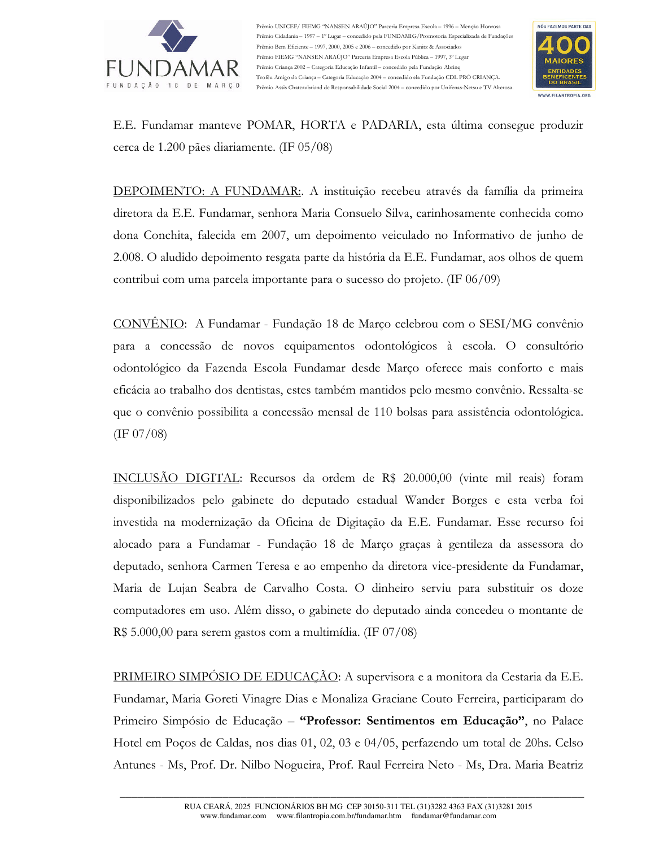

Prêmio UNICEF/ FIEMG "NANSEN ARAUJO" Parceria Empresa Escola – 1996 – Menção Honrosa Prêmio Cidadania – 1997 – 1º Lugar – concedido pela FUNDAMIG/Promotoria Especializada de Fundações Prêmio Bem Eficiente – 1997, 2000, 2005 e 2006 – concedido por Kanitz & Associados Prêmio FIEMG "NANSEN ARAÚJO" Parceria Empresa Escola Pública - 1997, 3º Lugar Prêmio Criança 2002 – Categoria Educação Infantil – concedido pela Fundação Abrinq Troféu Amigo da Criança – Categoria Educação 2004 – concedido ela Fundação CDL PRO CRIANÇA. Prêmio Assis Chateaubriand de Responsabilidade Social 2004 - concedido por Unifenas-Netsu e TV Alterosa.



E.E. Fundamar manteve POMAR, HORTA e PADARIA, esta última consegue produzir cerca de 1.200 pães diariamente. (IF 05/08)

<u>DEPOIMENTO: A FUNDAMAR:</u>. A instituição recebeu através da família da primeira diretora da E.E. Fundamar, senhora Maria Consuelo Silva, carinhosamente conhecida como dona Conchita, falecida em 2007, um depoimento veiculado no Informativo de junho de 2.008. O aludido depoimento resgata parte da história da E.E. Fundamar, aos olhos de quem contribui com uma parcela importante para o sucesso do projeto. (IF 06/09)

<u>CONVÊNIO</u>: A Fundamar - Fundação 18 de Março celebrou com o SESI/MG convênio para a concessão de novos equipamentos odontológicos à escola. O consultório odontológico da Fazenda Escola Fundamar desde Março oferece mais conforto e mais eficácia ao trabalho dos dentistas, estes também mantidos pelo mesmo convênio. Ressalta-se que o convênio possibilita a concessão mensal de 110 bolsas para assistência odontológica.  $($ IF 07/08 $)$ 

INCLUSÃO DIGITAL: Recursos da ordem de R\$ 20.000,00 (vinte mil reais) foram disponibilizados pelo gabinete do deputado estadual Wander Borges e esta verba foi investida na modernização da Oficina de Digitação da E.E. Fundamar. Esse recurso foi alocado para a Fundamar - Fundação 18 de Março graças à gentileza da assessora do deputado, senhora Carmen Teresa e ao empenho da diretora vice-presidente da Fundamar, Maria de Lujan Seabra de Carvalho Costa. O dinheiro serviu para substituir os doze computadores em uso. Além disso, o gabinete do deputado ainda concedeu o montante de R\$ 5.000,00 para serem gastos com a multimídia. (IF 07/08)

<u>PRIMEIRO SIMPOSIO DE EDUCAÇÃO</u>: A supervisora e a monitora da Cestaria da E.E. Fundamar, Maria Goreti Vinagre Dias e Monaliza Graciane Couto Ferreira, participaram do Primeiro Simpósio de Educação - "Professor: Sentimentos em Educação", no Palace Hotel em Poços de Caldas, nos dias 01, 02, 03 e 04/05, perfazendo um total de 20hs. Celso Antunes - Ms, Prof. Dr. Nilbo Nogueira, Prof. Raul Ferreira Neto - Ms, Dra. Maria Beatriz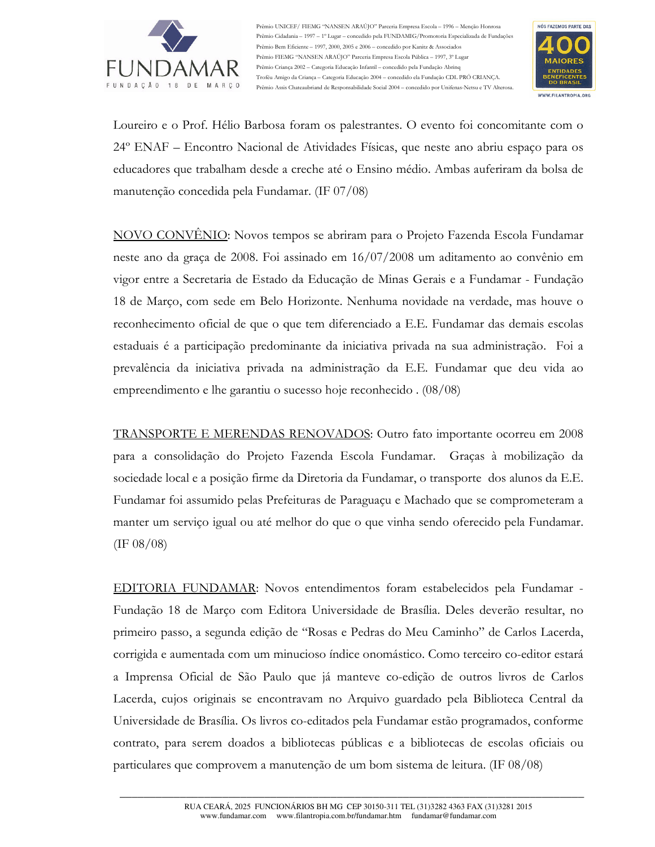

Prêmio UNICEF/ FIEMG "NANSEN ARAÚJO" Parceria Empresa Escola - 1996 - Menção Honrosa Prêmio Cidadania - 1997 - 1º Lugar - concedido pela FUNDAMIG/Promotoria Especializada de Fundações Prêmio Bem Eficiente - 1997, 2000, 2005 e 2006 - concedido por Kanitz & Associados Prêmio FIEMG "NANSEN ARAÚJO" Parceria Empresa Escola Pública - 1997, 3º Lugar Prêmio Criança 2002 - Categoria Educação Infantil - concedido pela Fundação Abrinq Troféu Amigo da Crianca - Categoria Educação 2004 - concedido ela Fundação CDL PRÓ CRIANCA. Prêmio Assis Chateaubriand de Responsabilidade Social 2004 - concedido por Unifenas-Netsu e TV Alterosa.



Loureiro e o Prof. Hélio Barbosa foram os palestrantes. O evento foi concomitante com o 24° ENAF – Encontro Nacional de Atividades Físicas, que neste ano abriu espaço para os educadores que trabalham desde a creche até o Ensino médio. Ambas auferiram da bolsa de manutenção concedida pela Fundamar. (IF 07/08)

NOVO CONVÊNIO: Novos tempos se abriram para o Projeto Fazenda Escola Fundamar neste ano da graça de 2008. Foi assinado em  $16/07/2008$  um aditamento ao convênio em vigor entre a Secretaria de Estado da Educação de Minas Gerais e a Fundamar - Fundação 18 de Marco, com sede em Belo Horizonte. Nenhuma novidade na verdade, mas houve o reconhecimento oficial de que o que tem diferenciado a E.E. Fundamar das demais escolas estaduais é a participação predominante da iniciativa privada na sua administração. Foi a prevalência da iniciativa privada na administração da E.E. Fundamar que deu vida ao empreendimento e lhe garantiu o sucesso hoje reconhecido  $(08/08)$ 

TRANSPORTE E MERENDAS RENOVADOS: Outro fato importante ocorreu em 2008 para a consolidação do Projeto Fazenda Escola Fundamar. Graças à mobilização da sociedade local e a posição firme da Diretoria da Fundamar, o transporte dos alunos da E.E. Fundamar foi assumido pelas Prefeituras de Paraguaçu e Machado que se comprometeram a manter um serviço igual ou até melhor do que o que vinha sendo oferecido pela Fundamar.  $(IF 08/08)$ 

EDITORIA FUNDAMAR: Novos entendimentos foram estabelecidos pela Fundamar -Fundação 18 de Março com Editora Universidade de Brasília. Deles deverão resultar, no primeiro passo, a segunda edição de "Rosas e Pedras do Meu Caminho" de Carlos Lacerda, corrigida e aumentada com um minucioso índice onomástico. Como terceiro co-editor estará a Imprensa Oficial de São Paulo que já manteve co-edição de outros livros de Carlos Lacerda, cujos originais se encontravam no Arquivo guardado pela Biblioteca Central da Universidade de Brasília. Os livros co-editados pela Fundamar estão programados, conforme contrato, para serem doados a bibliotecas públicas e a bibliotecas de escolas oficiais ou particulares que comprovem a manutenção de um bom sistema de leitura. (IF 08/08)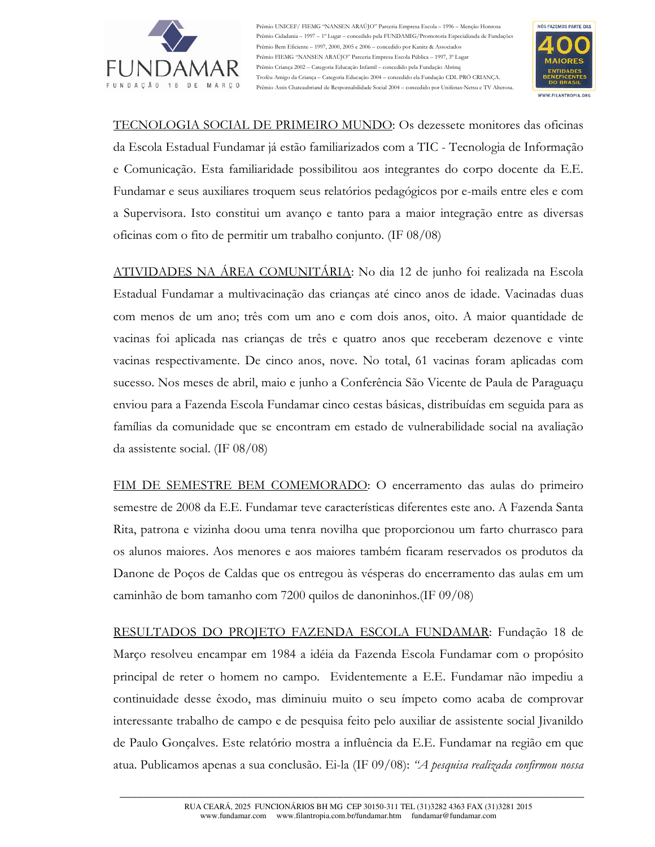

Prêmio UNICEF/ FIEMG "NANSEN ARAÚJO" Parceria Empresa Escola - 1996 - Menção Honrosa Prêmio Cidadania -- 1997 -- 1º Lugar -- concedido pela FUNDAMIG/Promotoria Especializada de Fundações Prêmio Bem Eficiente - 1997, 2000, 2005 e 2006 - concedido por Kanitz & Associados Prêmio FIEMG "NANSEN ARAÚJO" Parceria Empresa Escola Pública - 1997, 3º Lugar Prêmio Criança 2002 - Categoria Educação Infantil - concedido pela Fundação Abrino Troféu Amigo da Crianca - Categoria Educação 2004 - concedido ela Fundação CDL PRÓ CRIANCA. Prêmio Assis Chateaubriand de Responsabilidade Social 2004 - concedido por Unifenas-Netsu e TV Alterosa.



TECNOLOGIA SOCIAL DE PRIMEIRO MUNDO: Os dezessete monitores das oficinas da Escola Estadual Fundamar já estão familiarizados com a TIC - Tecnologia de Informação e Comunicação. Esta familiaridade possibilitou aos integrantes do corpo docente da E.E. Fundamar e seus auxiliares troquem seus relatórios pedagógicos por e-mails entre eles e com a Supervisora. Isto constitui um avanço e tanto para a maior integração entre as diversas oficinas com o fito de permitir um trabalho conjunto. (IF 08/08)

ATIVIDADES NA ÁREA COMUNITÁRIA: No dia 12 de junho foi realizada na Escola Estadual Fundamar a multivacinação das crianças até cinco anos de idade. Vacinadas duas com menos de um ano; três com um ano e com dois anos, oito. A maior quantidade de vacinas foi aplicada nas crianças de três e quatro anos que receberam dezenove e vinte vacinas respectivamente. De cinco anos, nove. No total, 61 vacinas foram aplicadas com sucesso. Nos meses de abril, maio e junho a Conferência São Vicente de Paula de Paraguaçu enviou para a Fazenda Escola Fundamar cinco cestas básicas, distribuídas em seguida para as famílias da comunidade que se encontram em estado de vulnerabilidade social na avaliação da assistente social. (IF  $08/08$ )

FIM DE SEMESTRE BEM COMEMORADO: O encerramento das aulas do primeiro semestre de 2008 da E.E. Fundamar teve características diferentes este ano. A Fazenda Santa Rita, patrona e vizinha doou uma tenra novilha que proporcionou um farto churrasco para os alunos maiores. Aos menores e aos maiores também ficaram reservados os produtos da Danone de Poços de Caldas que os entregou às vésperas do encerramento das aulas em um caminhão de bom tamanho com 7200 quilos de danoninhos. (IF  $09/08$ )

RESULTADOS DO PROJETO FAZENDA ESCOLA FUNDAMAR: Fundação 18 de Marco resolveu encampar em 1984 a idéia da Fazenda Escola Fundamar com o propósito principal de reter o homem no campo. Evidentemente a E.E. Fundamar não impediu a continuidade desse êxodo, mas diminuiu muito o seu ímpeto como acaba de comprovar interessante trabalho de campo e de pesquisa feito pelo auxiliar de assistente social Jivanildo de Paulo Gonçalves. Este relatório mostra a influência da E.E. Fundamar na região em que atua. Publicamos apenas a sua conclusão. Ei-la (IF 09/08): "A pesquisa realizada confirmou nossa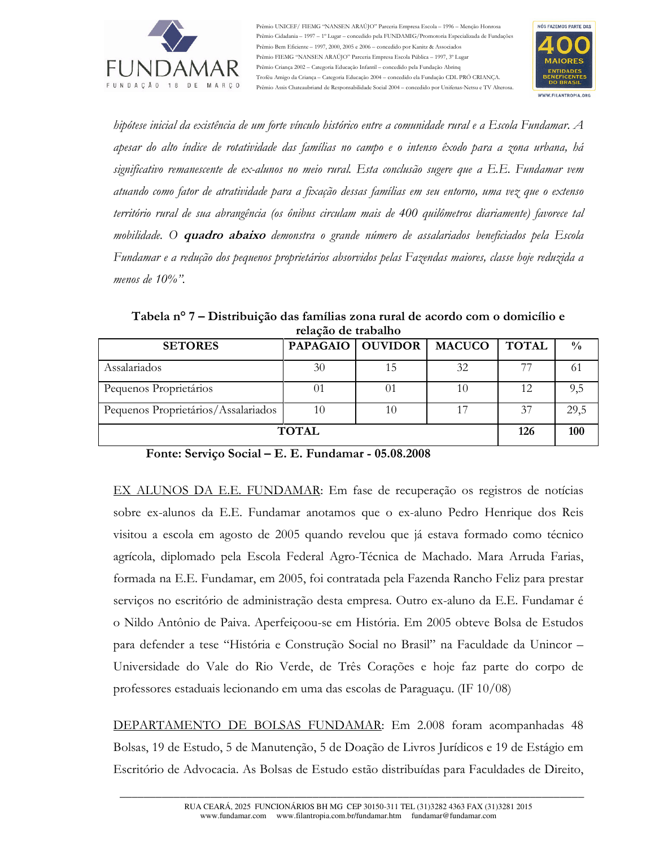

Prêmio UNICEF/ FIEMG "NANSEN ARAÚJO" Parceria Empresa Escola - 1996 - Menção Honrosa Prêmio Cidadania -- 1997 -- 1º Lugar -- concedido pela FUNDAMIG/Promotoria Especializada de Fundações Prêmio Bem Eficiente - 1997, 2000, 2005 e 2006 - concedido por Kanitz & Associados Prêmio FIEMG "NANSEN ARAÚJO" Parceria Empresa Escola Pública - 1997, 3º Lugar Prêmio Criança 2002 - Categoria Educação Infantil - concedido pela Fundação Abrinq Troféu Amigo da Crianca - Categoria Educação 2004 - concedido ela Fundação CDL PRÓ CRIANCA. Prêmio Assis Chateaubriand de Responsabilidade Social 2004 - concedido por Unifenas-Netsu e TV Alterosa



hipótese inicial da existência de um forte vínculo histórico entre a comunidade rural e a Escola Fundamar. A apesar do alto índice de rotatividade das famílias no campo e o intenso êxodo para a zona urbana, há significativo remanescente de ex-alunos no meio rural. Esta conclusão sugere que a E.E. Fundamar vem atuando como fator de atratividade para a fixação dessas famílias em seu entorno, uma vez que o extenso território rural de sua abrangência (os ônibus circulam mais de 400 quilômetros diariamente) favorece tal mobilidade. O **quadro abaixo** demonstra o grande número de assalariados beneficiados pela Escola Fundamar e a redução dos pequenos proprietários absorvidos pelas Fazendas maiores, classe hoje reduzida a menos de  $10\%$ ".

Tabela nº 7 – Distribuição das famílias zona rural de acordo com o domicílio e relação de trabalho

| <b>SETORES</b>                      |    | PAPAGAIO   OUVIDOR | <b>MACUCO</b> | <b>TOTAL</b> | $\frac{0}{0}$ |
|-------------------------------------|----|--------------------|---------------|--------------|---------------|
| Assalariados                        | 30 | 15                 | 32            | 77           |               |
| Pequenos Proprietários              | 01 |                    | 10            | 12           | 9,5           |
| Pequenos Proprietários/Assalariados | 10 | 10                 | 17            | 37           | 29,5          |
| <b>TOTAL</b>                        |    |                    |               |              | 100           |

Fonte: Serviço Social – E. E. Fundamar - 05.08.2008

EX ALUNOS DA E.E. FUNDAMAR: Em fase de recuperação os registros de notícias sobre ex-alunos da E.E. Fundamar anotamos que o ex-aluno Pedro Henrique dos Reis visitou a escola em agosto de 2005 quando revelou que já estava formado como técnico agrícola, diplomado pela Escola Federal Agro-Técnica de Machado. Mara Arruda Farias, formada na E.E. Fundamar, em 2005, foi contratada pela Fazenda Rancho Feliz para prestar serviços no escritório de administração desta empresa. Outro ex-aluno da E.E. Fundamar é o Nildo Antônio de Paiva. Aperfeiçoou-se em História. Em 2005 obteve Bolsa de Estudos para defender a tese "História e Construção Social no Brasil" na Faculdade da Unincor -Universidade do Vale do Rio Verde, de Três Corações e hoje faz parte do corpo de professores estaduais lecionando em uma das escolas de Paraguaçu. (IF  $10/08$ )

DEPARTAMENTO DE BOLSAS FUNDAMAR: Em 2.008 foram acompanhadas 48 Bolsas, 19 de Estudo, 5 de Manutenção, 5 de Doação de Livros Jurídicos e 19 de Estágio em Escritório de Advocacia. As Bolsas de Estudo estão distribuídas para Faculdades de Direito,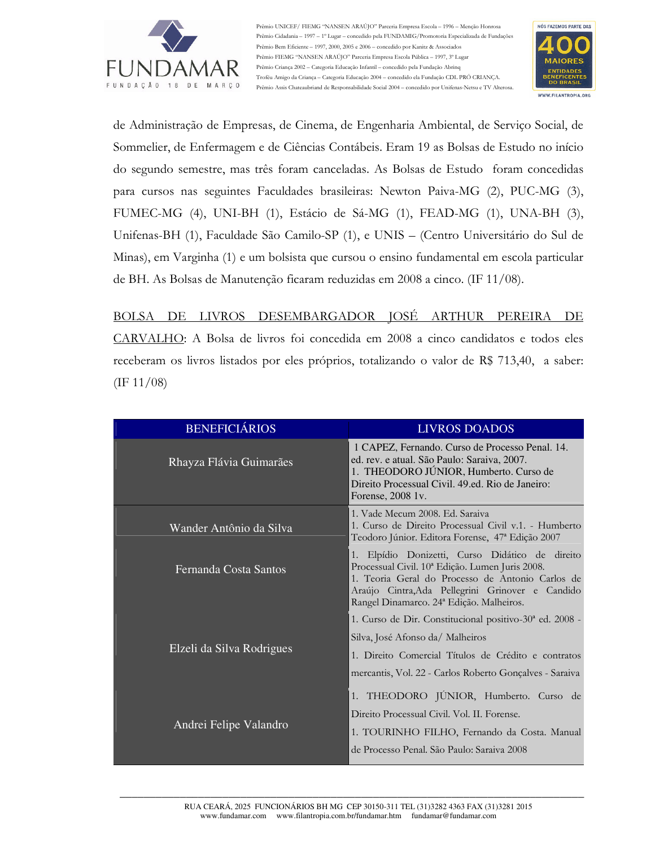

Prêmio UNICEF/ FIEMG "NANSEN ARAÚJO" Parceria Empresa Escola - 1996 - Menção Honrosa Prêmio Cidadania - 1997 - 1º Lugar - concedido pela FUNDAMIG/Promotoria Especializada de Fundações Prêmio Bem Eficiente - 1997, 2000, 2005 e 2006 - concedido por Kanitz & Associados Prêmio FIEMG "NANSEN ARAÚJO" Parceria Empresa Escola Pública - 1997, 3º Lugar Prêmio Criança 2002 - Categoria Educação Infantil - concedido pela Fundação Abrino Troféu Amigo da Crianca - Categoria Educação 2004 - concedido ela Fundação CDL PRÓ CRIANCA. Prêmio Assis Chateaubriand de Responsabilidade Social 2004 - concedido por Unifenas-Netsu e TV Alterosa.



de Administração de Empresas, de Cinema, de Engenharia Ambiental, de Serviço Social, de Sommelier, de Enfermagem e de Ciências Contábeis. Eram 19 as Bolsas de Estudo no início do segundo semestre, mas três foram canceladas. As Bolsas de Estudo foram concedidas para cursos nas seguintes Faculdades brasileiras: Newton Paiva-MG (2), PUC-MG (3), FUMEC-MG (4), UNI-BH (1), Estácio de Sá-MG (1), FEAD-MG (1), UNA-BH (3), Unifenas-BH (1), Faculdade São Camilo-SP (1), e UNIS - (Centro Universitário do Sul de Minas), em Varginha (1) e um bolsista que cursou o ensino fundamental em escola particular de BH. As Bolsas de Manutenção ficaram reduzidas em 2008 a cinco. (IF 11/08).

BOLSA DE LIVROS DESEMBARGADOR JOSÉ ARTHUR PEREIRA DE CARVALHO: A Bolsa de livros foi concedida em 2008 a cinco candidatos e todos eles receberam os livros listados por eles próprios, totalizando o valor de R\$ 713,40, a saber:  $(\text{IF } 11/08)$ 

| <b>BENEFICIÁRIOS</b>      | <b>LIVROS DOADOS</b>                                                                                                                                                                                                                                               |
|---------------------------|--------------------------------------------------------------------------------------------------------------------------------------------------------------------------------------------------------------------------------------------------------------------|
| Rhayza Flávia Guimarães   | 1 CAPEZ, Fernando. Curso de Processo Penal. 14.<br>ed. rev. e atual. São Paulo: Saraiva, 2007.<br>1. THEODORO JÚNIOR, Humberto. Curso de<br>Direito Processual Civil. 49.ed. Rio de Janeiro:<br>Forense, 2008 1v.                                                  |
| Wander Antônio da Silva   | 1. Vade Mecum 2008. Ed. Saraiya<br>1. Curso de Direito Processual Civil v.1. - Humberto<br>Teodoro Júnior. Editora Forense, 47ª Edição 2007                                                                                                                        |
| Fernanda Costa Santos     | 1. Elpídio Donizetti, Curso Didático de direito<br>Processual Civil. 10 <sup>ª</sup> Edição. Lumen Juris 2008.<br>1. Teoria Geral do Processo de Antonio Carlos de<br>Araújo Cintra, Ada Pellegrini Grinover e Candido<br>Rangel Dinamarco. 24ª Edição. Malheiros. |
| Elzeli da Silva Rodrigues | 1. Curso de Dir. Constitucional positivo-30 <sup>ª</sup> ed. 2008 -<br>Silva, José Afonso da/ Malheiros<br>1. Direito Comercial Títulos de Crédito e contratos<br>mercantis, Vol. 22 - Carlos Roberto Gonçalves - Saraiva                                          |
| Andrei Felipe Valandro    | 1. THEODORO JÚNIOR, Humberto. Curso de<br>Direito Processual Civil. Vol. II. Forense.<br>1. TOURINHO FILHO, Fernando da Costa. Manual<br>de Processo Penal. São Paulo: Saraiva 2008                                                                                |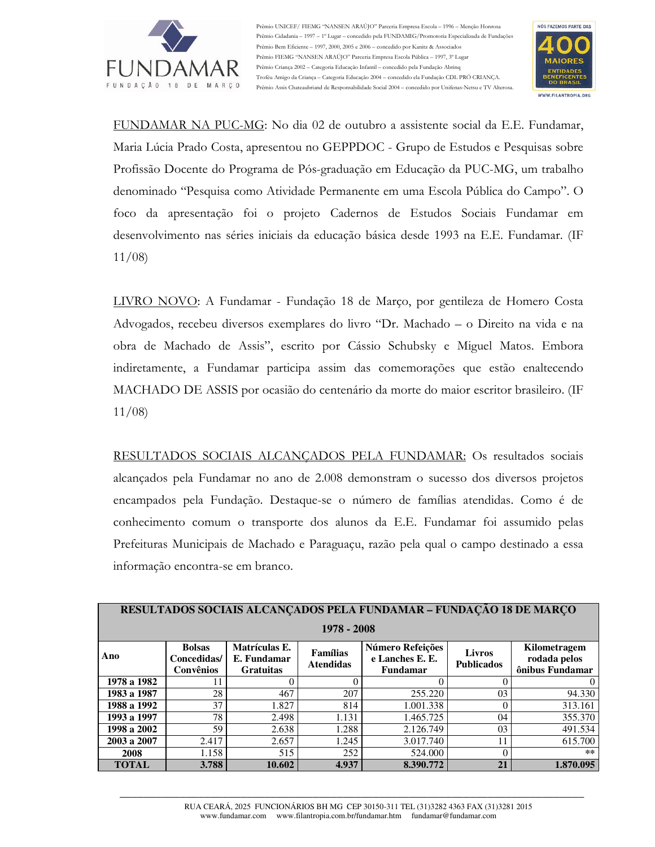

Prêmio UNICEF/ FIEMG "NANSEN ARAÚJO" Parceria Empresa Escola - 1996 - Menção Honrosa Prêmio Cidadania -- 1997 -- 1º Lugar -- concedido pela FUNDAMIG/Promotoria Especializada de Fundações Prêmio Bem Eficiente - 1997, 2000, 2005 e 2006 - concedido por Kanitz & Associados Prêmio FIEMG "NANSEN ARAÚJO" Parceria Empresa Escola Pública - 1997, 3º Lugar Prêmio Criança 2002 - Categoria Educação Infantil - concedido pela Fundação Abrinq Troféu Amigo da Crianca - Categoria Educação 2004 - concedido ela Fundação CDL PRÓ CRIANCA. Prêmio Assis Chateaubriand de Responsabilidade Social 2004 - concedido por Unifenas-Netsu e TV Alterosa.



FUNDAMAR NA PUC-MG: No dia 02 de outubro a assistente social da E.E. Fundamar, Maria Lúcia Prado Costa, apresentou no GEPPDOC - Grupo de Estudos e Pesquisas sobre Profissão Docente do Programa de Pós-graduação em Educação da PUC-MG, um trabalho denominado "Pesquisa como Atividade Permanente em uma Escola Pública do Campo". O foco da apresentação foi o projeto Cadernos de Estudos Sociais Fundamar em desenvolvimento nas séries iniciais da educação básica desde 1993 na E.E. Fundamar. (IF  $11/08$ 

LIVRO NOVO: A Fundamar - Fundação 18 de Marco, por gentileza de Homero Costa Advogados, recebeu diversos exemplares do livro "Dr. Machado – o Direito na vida e na obra de Machado de Assis", escrito por Cássio Schubsky e Miguel Matos. Embora indiretamente, a Fundamar participa assim das comemorações que estão enaltecendo MACHADO DE ASSIS por ocasião do centenário da morte do maior escritor brasileiro. (IF  $11/08$ 

RESULTADOS SOCIAIS ALCANCADOS PELA FUNDAMAR: Os resultados sociais alcancados pela Fundamar no ano de 2.008 demonstram o sucesso dos diversos projetos encampados pela Fundação. Destaque-se o número de famílias atendidas. Como é de conhecimento comum o transporte dos alunos da E.E. Fundamar foi assumido pelas Prefeituras Municipais de Machado e Paraguaçu, razão pela qual o campo destinado a essa informação encontra-se em branco.

| RESULTADOS SOCIAIS ALCANÇADOS PELA FUNDAMAR - FUNDAÇÃO 18 DE MARÇO |                                           |                                                  |                              |                                                        |                                    |                                                 |
|--------------------------------------------------------------------|-------------------------------------------|--------------------------------------------------|------------------------------|--------------------------------------------------------|------------------------------------|-------------------------------------------------|
| 1978 - 2008                                                        |                                           |                                                  |                              |                                                        |                                    |                                                 |
| Ano                                                                | <b>Bolsas</b><br>Concedidas/<br>Convênios | Matrículas E.<br>E. Fundamar<br><b>Gratuitas</b> | Famílias<br><b>Atendidas</b> | Número Refeições<br>e Lanches E. E.<br><b>Fundamar</b> | <b>Livros</b><br><b>Publicados</b> | Kilometragem<br>rodada pelos<br>ônibus Fundamar |
| 1978 a 1982                                                        |                                           |                                                  | $\theta$                     |                                                        | 0                                  | $\theta$                                        |
| 1983 a 1987                                                        | 28                                        | 467                                              | 207                          | 255.220                                                | 03                                 | 94.330                                          |
| 1988 a 1992                                                        | 37                                        | 1.827                                            | 814                          | 1.001.338                                              | $\Omega$                           | 313.161                                         |
| 1993 a 1997                                                        | 78                                        | 2.498                                            | 1.131                        | 1.465.725                                              | 04                                 | 355.370                                         |
| 1998 a 2002                                                        | 59                                        | 2.638                                            | 1.288                        | 2.126.749                                              | 03                                 | 491.534                                         |
| 2003 a 2007                                                        | 2.417                                     | 2.657                                            | 1.245                        | 3.017.740                                              | 11                                 | 615.700                                         |
| 2008                                                               | 1.158                                     | 515                                              | 252                          | 524.000                                                | $\Omega$                           | $***$                                           |
| <b>TOTAL</b>                                                       | 3.788                                     | 10.602                                           | 4.937                        | 8.390.772                                              | 21                                 | 1.870.095                                       |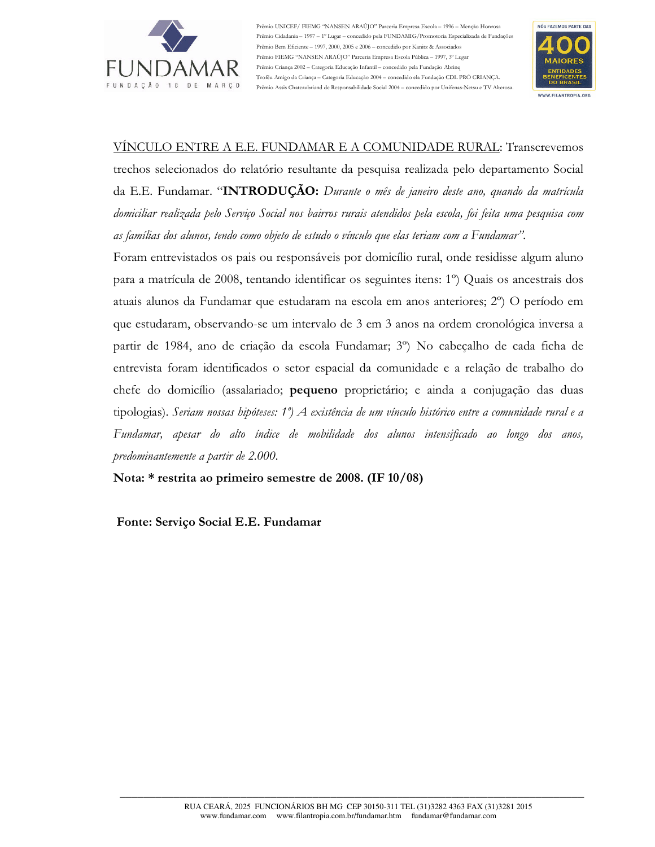

Prêmio UNICEF/ FIEMG "NANSEN ARAÚJO" Parceria Empresa Escola - 1996 - Menção Honrosa Prêmio Cidadania - 1997 - 1º Lugar - concedido pela FUNDAMIG/Promotoria Especializada de Fundações Prêmio Bem Eficiente - 1997, 2000, 2005 e 2006 - concedido por Kanitz & Associados Prêmio FIEMG "NANSEN ARAÚJO" Parceria Empresa Escola Pública - 1997, 3º Lugar Prêmio Criança 2002 - Categoria Educação Infantil - concedido pela Fundação Abrino Troféu Amigo da Crianca - Categoria Educação 2004 - concedido ela Fundação CDL PRÓ CRIANCA. Prêmio Assis Chateaubriand de Responsabilidade Social 2004 - concedido por Unifenas-Netsu e TV Alterosa.



### VÍNCULO ENTRE A E.E. FUNDAMAR E A COMUNIDADE RURAL: Transcrevemos

trechos selecionados do relatório resultante da pesquisa realizada pelo departamento Social da E.E. Fundamar. "INTRODUÇÃO: Durante o mês de janeiro deste ano, quando da matrícula domiciliar realizada pelo Servico Social nos bairros rurais atendidos pela escola, foi feita uma pesquisa com as famílias dos alunos, tendo como objeto de estudo o vínculo que elas teriam com a Fundamar".

Foram entrevistados os pais ou responsáveis por domicílio rural, onde residisse algum aluno para a matrícula de 2008, tentando identificar os seguintes itens: 1<sup>o</sup>) Quais os ancestrais dos atuais alunos da Fundamar que estudaram na escola em anos anteriores; 2<sup>o</sup>) O período em que estudaram, observando-se um intervalo de 3 em 3 anos na ordem cronológica inversa a partir de 1984, ano de criação da escola Fundamar; 3<sup>o</sup>) No cabeçalho de cada ficha de entrevista foram identificados o setor espacial da comunidade e a relação de trabalho do chefe do domicílio (assalariado; pequeno proprietário; e ainda a conjugação das duas tipologias). Seriam nossas hipóteses: 1°) A existência de um vínculo histórico entre a comunidade rural e a Fundamar, apesar do alto índice de mobilidade dos alunos intensificado ao longo dos anos, predominantemente a partir de 2.000.

Nota: \* restrita ao primeiro semestre de 2008. (IF 10/08)

Fonte: Serviço Social E.E. Fundamar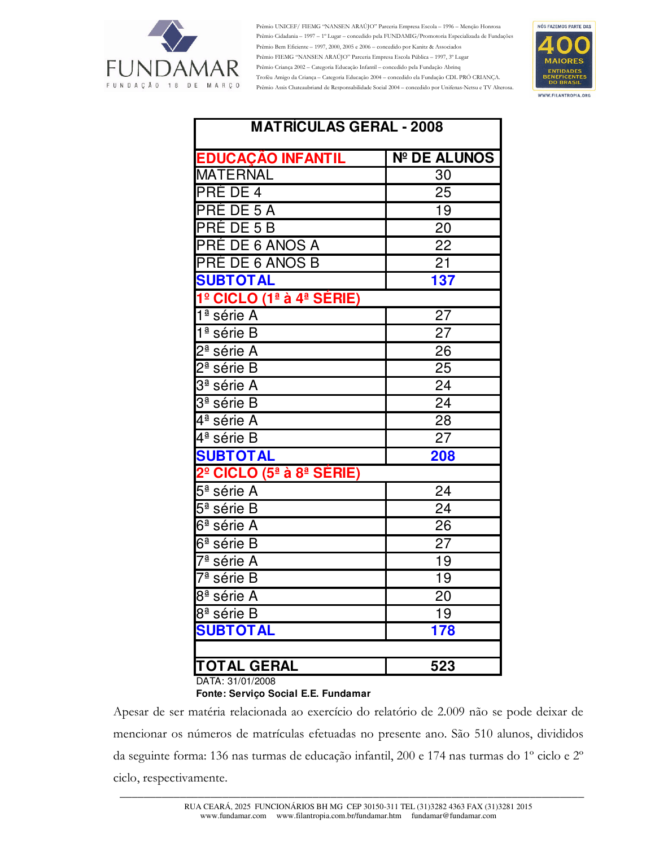

Prêmio UNICEF/ FIEMG "NANSEN ARAÚJO" Parceria Empresa Escola - 1996 - Menção Honrosa Prêmio Cidadania -- 1997 -- 1º Lugar -- concedido pela FUNDAMIG/Promotoria Especializada de Fundações Prêmio Bem Eficiente – 1997, 2000, 2005 e 2006 – concedido por Kanitz & Associados Prêmio FIEMG "NANSEN ARAÚJO" Parceria Empresa Escola Pública - 1997, 3º Lugar Prêmio Criança 2002 - Categoria Educação Infantil - concedido pela Fundação Abrinq Troféu Amigo da Criança - Categoria Educação 2004 - concedido ela Fundação CDL PRÓ CRIANÇA. Prêmio Assis Chateaubriand de Responsabilidade Social 2004 - concedido por Unifenas-Netsu e TV Alterosa.



| <b>MATRÍCULAS GERAL - 2008</b>                               |                     |  |  |  |  |
|--------------------------------------------------------------|---------------------|--|--|--|--|
| <b>EDUCAÇÃO INFANTIL</b>                                     | <b>Nº DE ALUNOS</b> |  |  |  |  |
| MATERNAL                                                     | 30                  |  |  |  |  |
| <b>PRÉ DE 4</b>                                              | 25                  |  |  |  |  |
| <b>PRÉ DE 5 A</b>                                            | 19                  |  |  |  |  |
| <b>PRÉ DE 5 B</b>                                            | 20                  |  |  |  |  |
| PRÉ DE 6 ANOS A                                              | 22                  |  |  |  |  |
| <b>PRÉ DE 6 ANOS B</b>                                       | $\overline{2}1$     |  |  |  |  |
| <b>SUBTOTAL</b>                                              | 137                 |  |  |  |  |
| 1º CICLO (1ª à 4ª SÉRIE)                                     |                     |  |  |  |  |
| 1ª série A                                                   | $\overline{27}$     |  |  |  |  |
| $1a$ série B                                                 | 27                  |  |  |  |  |
| 2ª série A                                                   | 26                  |  |  |  |  |
| 2 <sup>ª</sup> série B                                       | 25                  |  |  |  |  |
| 3ª série A                                                   | 24                  |  |  |  |  |
| 3ª série B                                                   | 24                  |  |  |  |  |
| $\overline{4}$ <sup>a</sup> série A                          | 28                  |  |  |  |  |
| 4ª série B                                                   | 27                  |  |  |  |  |
| <b>SUBTOTAL</b>                                              | 208                 |  |  |  |  |
| 2 <sup>º</sup> CICLO (5 <sup>ª</sup> à 8 <sup>ª</sup> SÉRIE) |                     |  |  |  |  |
| 5 <sup>ª</sup> série A                                       | 24                  |  |  |  |  |
| 5 <sup>ª</sup> série B                                       | 24                  |  |  |  |  |
| 6ª série A                                                   | 26                  |  |  |  |  |
| 6 <sup>ª</sup> série B                                       | 27                  |  |  |  |  |
| $\overline{7^{\mathsf{a}}}$ série A                          | 19                  |  |  |  |  |
| 7ª série B                                                   | 19                  |  |  |  |  |
| 8 <sup>ª</sup> série A                                       | 20                  |  |  |  |  |
| 8 <sup>ª</sup> série B                                       | 19                  |  |  |  |  |
| <b>SUBTOTAL</b>                                              | 178                 |  |  |  |  |
|                                                              |                     |  |  |  |  |
| <b>TOTAL GERAL</b>                                           | 523                 |  |  |  |  |

DATA: 31/01/2008

Fonte: Serviço Social E.E. Fundamar

Apesar de ser matéria relacionada ao exercício do relatório de 2.009 não se pode deixar de mencionar os números de matrículas efetuadas no presente ano. São 510 alunos, divididos da seguinte forma: 136 nas turmas de educação infantil, 200 e 174 nas turmas do 1º ciclo e 2º ciclo, respectivamente.